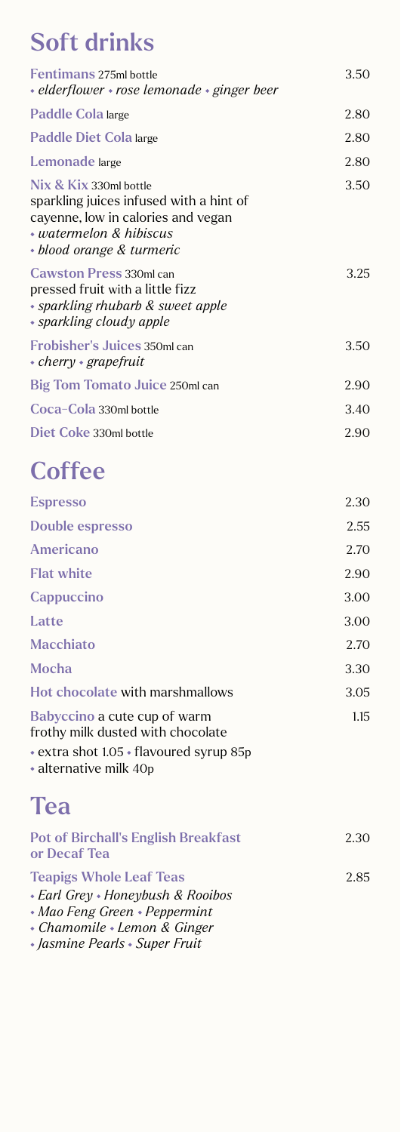# Soft drinks

| <b>Fentimans 275ml bottle</b><br>• elderflower • rose lemonade • ginger beer                                                                                          | 3.50 |
|-----------------------------------------------------------------------------------------------------------------------------------------------------------------------|------|
| Paddle Cola large                                                                                                                                                     | 2.80 |
| Paddle Diet Cola large                                                                                                                                                | 2.80 |
| Lemonade large                                                                                                                                                        | 2.80 |
| Nix & Kix 330ml bottle<br>sparkling juices infused with a hint of<br>cayenne, low in calories and vegan<br>$\cdot$ watermelon & hibiscus<br>• blood orange & turmeric | 3.50 |
| <b>Cawston Press 330ml can</b><br>pressed fruit with a little fizz<br>• sparkling rhubarb & sweet apple<br>• sparkling cloudy apple                                   | 3.25 |
| <b>Frobisher's Juices 350ml can</b><br>$\cdot$ cherry $\cdot$ grapefruit                                                                                              | 3.50 |
| <b>Big Tom Tomato Juice 250ml can</b>                                                                                                                                 | 2.90 |
| Coca-Cola 330ml bottle                                                                                                                                                | 3.40 |
| Diet Coke 330ml bottle                                                                                                                                                | 2.90 |

# **Coffee**

| <b>Espresso</b>                                                   | 2.30 |
|-------------------------------------------------------------------|------|
| Double espresso                                                   | 2.55 |
| Americano                                                         | 2.70 |
| <b>Flat white</b>                                                 | 2.90 |
| Cappuccino                                                        | 3.00 |
| Latte                                                             | 3.00 |
| <b>Macchiato</b>                                                  | 2.70 |
| <b>Mocha</b>                                                      | 3.30 |
| Hot chocolate with marshmallows                                   | 3.05 |
| Babyccino a cute cup of warm<br>frothy milk dusted with chocolate | 1.15 |

• extra shot 1.05 • flavoured syrup 85p

alternative milk 40p

# Tea

| <b>Pot of Birchall's English Breakfast</b><br>or Decaf Tea | 2.30 |
|------------------------------------------------------------|------|
| <b>Teapigs Whole Leaf Teas</b>                             | 2.85 |
| • Earl Grey • Honeybush & Rooibos                          |      |
| • Mao Feng Green • Peppermint                              |      |
| • Chamomile • Lemon & Ginger                               |      |

 *Jasmine Pearls Super Fruit*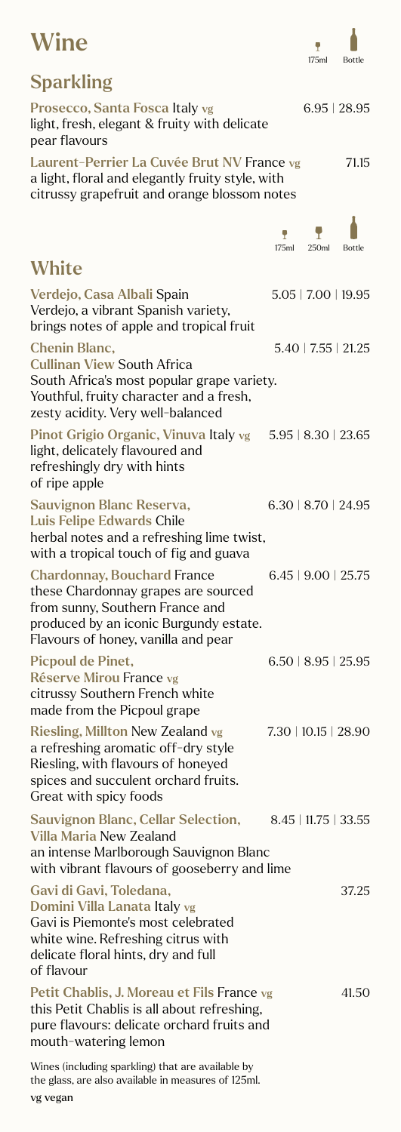### **Wine**

 $\blacksquare$ 175ml Bottle

| <b>Sparkling</b>                                                                                                                                                                              |                             |                             |        |
|-----------------------------------------------------------------------------------------------------------------------------------------------------------------------------------------------|-----------------------------|-----------------------------|--------|
| Prosecco, Santa Fosca Italy vg<br>light, fresh, elegant & fruity with delicate<br>pear flavours                                                                                               |                             | 6.95   28.95                |        |
| Laurent-Perrier La Cuvée Brut NV France vg<br>a light, floral and elegantly fruity style, with<br>citrussy grapefruit and orange blossom notes                                                |                             |                             | 71.15  |
|                                                                                                                                                                                               | Ÿ<br>175ml                  | 250ml                       | Bottle |
| <b>White</b>                                                                                                                                                                                  |                             |                             |        |
| Verdejo, Casa Albali Spain<br>Verdejo, a vibrant Spanish variety,<br>brings notes of apple and tropical fruit                                                                                 |                             | $5.05$   $7.00$   $19.95$   |        |
| <b>Chenin Blanc,</b><br><b>Cullinan View South Africa</b><br>South Africa's most popular grape variety.<br>Youthful, fruity character and a fresh,<br>zesty acidity. Very well-balanced       |                             | $5.40 \mid 7.55 \mid 21.25$ |        |
| Pinot Grigio Organic, Vinuva Italy vg<br>light, delicately flavoured and<br>refreshingly dry with hints<br>of ripe apple                                                                      | $5.95 \mid 8.30 \mid 23.65$ |                             |        |
| Sauvignon Blanc Reserva,<br>Luis Felipe Edwards Chile<br>herbal notes and a refreshing lime twist,<br>with a tropical touch of fig and guava                                                  |                             | $6.30 \mid 8.70 \mid 24.95$ |        |
| <b>Chardonnay, Bouchard France</b><br>these Chardonnay grapes are sourced<br>from sunny, Southern France and<br>produced by an iconic Burgundy estate.<br>Flavours of honey, vanilla and pear |                             | $6.45$   9.00   25.75       |        |
| <b>Picpoul de Pinet,</b><br>Réserve Mirou France vg<br>citrussy Southern French white<br>made from the Picpoul grape                                                                          |                             | $6.50 \mid 8.95 \mid 25.95$ |        |
| Riesling, Millton New Zealand vg<br>a refreshing aromatic off-dry style<br>Riesling, with flavours of honeyed<br>spices and succulent orchard fruits.<br>Great with spicy foods               | 7.30   10.15   28.90        |                             |        |
| Sauvignon Blanc, Cellar Selection, 8.45   11.75   33.55<br><b>Villa Maria New Zealand</b><br>an intense Marlborough Sauvignon Blanc<br>with vibrant flavours of gooseberry and lime           |                             |                             |        |
| Gavi di Gavi, Toledana,<br>Domini Villa Lanata Italy vg<br>Gavi is Piemonte's most celebrated<br>white wine. Refreshing citrus with<br>delicate floral hints, dry and full<br>of flavour      |                             |                             | 37.25  |
| Petit Chablis, J. Moreau et Fils France vg<br>this Petit Chablis is all about refreshing,<br>pure flavours: delicate orchard fruits and<br>mouth-watering lemon                               |                             |                             | 41.50  |

Wines (including sparkling) that are available by the glass, are also available in measures of 125ml.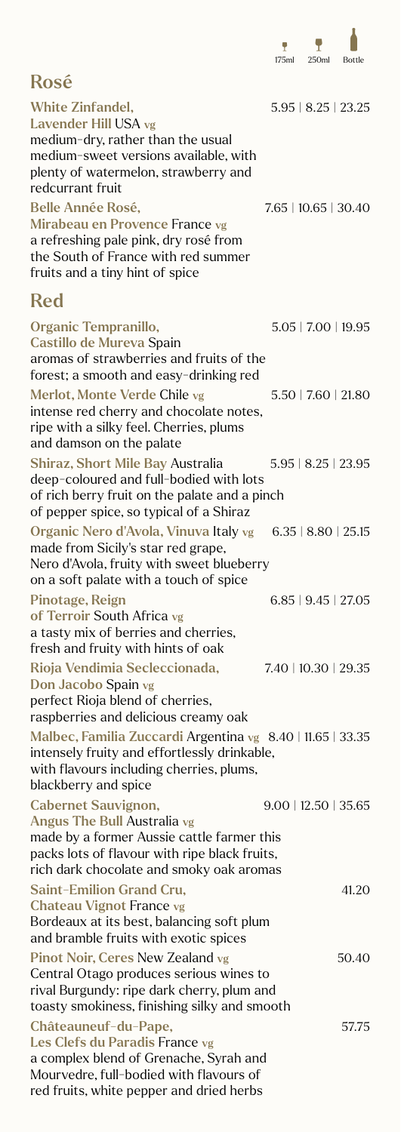

| <b>Rosé</b>                                                                                                                                                                                          |                             |
|------------------------------------------------------------------------------------------------------------------------------------------------------------------------------------------------------|-----------------------------|
| <b>White Zinfandel,</b><br>Lavender Hill USA vg<br>medium-dry, rather than the usual<br>medium-sweet versions available, with<br>plenty of watermelon, strawberry and<br>redcurrant fruit            | $5.95 \mid 8.25 \mid 23.25$ |
| <b>Belle Année Rosé,</b><br>Mirabeau en Provence France vg<br>a refreshing pale pink, dry rosé from<br>the South of France with red summer<br>fruits and a tiny hint of spice                        | 7.65   10.65   30.40        |
| <b>Red</b>                                                                                                                                                                                           |                             |
| Organic Tempranillo,<br>Castillo de Mureva Spain<br>aromas of strawberries and fruits of the<br>forest; a smooth and easy-drinking red                                                               | $5.05$   $7.00$   $19.95$   |
| Merlot, Monte Verde Chile vg<br>intense red cherry and chocolate notes,<br>ripe with a silky feel. Cherries, plums<br>and damson on the palate                                                       | 5.50   7.60   21.80         |
| <b>Shiraz, Short Mile Bay Australia</b><br>deep-coloured and full-bodied with lots<br>of rich berry fruit on the palate and a pinch<br>of pepper spice, so typical of a Shiraz                       | $5.95 \mid 8.25 \mid 23.95$ |
| Organic Nero d'Avola, Vinuva Italy vg 6.35   8.80   25.15<br>made from Sicily's star red grape,<br>Nero d'Avola, fruity with sweet blueberry<br>on a soft palate with a touch of spice               |                             |
| <b>Pinotage, Reign</b><br>of Terroir South Africa vg<br>a tasty mix of berries and cherries,<br>fresh and fruity with hints of oak                                                                   | $6.85$   9.45   27.05       |
| Rioja Vendimia Secleccionada,<br>Don Jacobo Spain vg<br>perfect Rioja blend of cherries,<br>raspberries and delicious creamy oak                                                                     | 7.40   10.30   29.35        |
| Malbec, Familia Zuccardi Argentina vg 8.40   11.65   33.35<br>intensely fruity and effortlessly drinkable,<br>with flavours including cherries, plums,<br>blackberry and spice                       |                             |
| <b>Cabernet Sauvignon,</b><br>Angus The Bull Australia vg<br>made by a former Aussie cattle farmer this<br>packs lots of flavour with ripe black fruits,<br>rich dark chocolate and smoky oak aromas | $9.00$   12.50   35.65      |
| <b>Saint-Emilion Grand Cru,</b><br><b>Chateau Vignot France vg</b>                                                                                                                                   | 41.20                       |

Bordeaux at its best, balancing soft plum and bramble fruits with exotic spices Pinot Noir, Ceres New Zealand vg 50.40 Central Otago produces serious wines to rival Burgundy: ripe dark cherry, plum and toasty smokiness, finishing silky and smooth Châteauneuf-du-Pape, 57.75 Les Clefs du Paradis France vg a complex blend of Grenache, Syrah and Mourvedre, full-bodied with flavours of red fruits, white pepper and dried herbs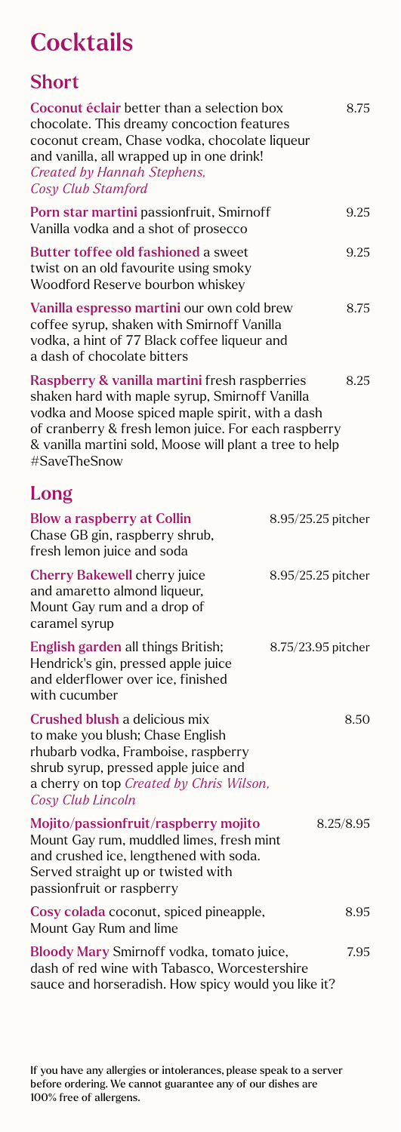### **Cocktails**

#### Short

| Coconut éclair better than a selection box<br>chocolate. This dreamy concoction features<br>coconut cream, Chase vodka, chocolate liqueur<br>and vanilla, all wrapped up in one drink!<br>Created by Hannah Stephens,<br>Cosy Club Stamford                                            | 8.75               |
|----------------------------------------------------------------------------------------------------------------------------------------------------------------------------------------------------------------------------------------------------------------------------------------|--------------------|
| Porn star martini passionfruit, Smirnoff<br>Vanilla vodka and a shot of prosecco                                                                                                                                                                                                       | 9.25               |
| <b>Butter toffee old fashioned a sweet</b><br>twist on an old favourite using smoky<br>Woodford Reserve bourbon whiskey                                                                                                                                                                | 9.25               |
| Vanilla espresso martini our own cold brew<br>coffee syrup, shaken with Smirnoff Vanilla<br>vodka, a hint of 77 Black coffee liqueur and<br>a dash of chocolate bitters                                                                                                                | 8.75               |
| Raspberry & vanilla martini fresh raspberries<br>shaken hard with maple syrup, Smirnoff Vanilla<br>vodka and Moose spiced maple spirit, with a dash<br>of cranberry & fresh lemon juice. For each raspberry<br>& vanilla martini sold, Moose will plant a tree to help<br>#SaveTheSnow | 8.25               |
| Long                                                                                                                                                                                                                                                                                   |                    |
| <b>Blow a raspberry at Collin</b><br>Chase GB gin, raspberry shrub,<br>fresh lemon juice and soda                                                                                                                                                                                      | 8.95/25.25 pitcher |
| <b>Cherry Bakewell cherry juice</b><br>and amaretto almond liqueur,<br>Mount Gay rum and a drop of<br>caramel syrup                                                                                                                                                                    | 8.95/25.25 pitcher |
| English garden all things British;<br>Hendrick's gin, pressed apple juice<br>and elderflower over ice, finished<br>with cucumber                                                                                                                                                       | 8.75/23.95 pitcher |
| Crushed blush a delicious mix<br>to make you blush; Chase English<br>rhubarb vodka, Framboise, raspberry<br>shrub syrup, pressed apple juice and<br>a cherry on top Created by Chris Wilson,<br>Cosy Club Lincoln                                                                      | 8.50               |
| Mojito/passionfruit/raspberry mojito<br>Mount Gay rum, muddled limes, fresh mint<br>and crushed ice, lengthened with soda.<br>Served straight up or twisted with<br>passionfruit or raspberry                                                                                          | 8.25/8.95          |
| Cosy colada coconut, spiced pineapple,<br>Mount Gay Rum and lime                                                                                                                                                                                                                       | 8.95               |
| Bloody Mary Smirnoff vodka, tomato juice,<br>dash of red wine with Tabasco, Worcestershire<br>sauce and horseradish. How spicy would you like it?                                                                                                                                      | 7.95               |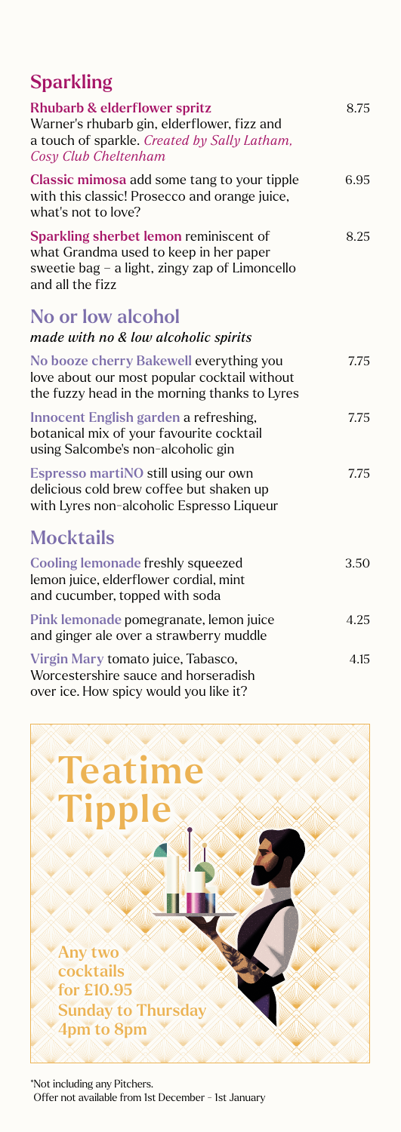#### **Sparkling**

| <b>Rhubarb &amp; elderflower spritz</b><br>Warner's rhubarb gin, elderflower, fizz and<br>a touch of sparkle. Created by Sally Latham,<br>Cosy Club Cheltenham | 8.75 |
|----------------------------------------------------------------------------------------------------------------------------------------------------------------|------|
| Classic mimosa add some tang to your tipple<br>with this classic! Prosecco and orange juice,<br>what's not to love?                                            | 6.95 |
| Sparkling sherbet lemon reminiscent of<br>what Grandma used to keep in her paper<br>sweetie bag $-$ a light, zingy zap of Limoncello<br>and all the fizz       | 8.25 |
| No or low alcohol                                                                                                                                              |      |
| made with no & low alcoholic spirits                                                                                                                           |      |
| No booze cherry Bakewell everything you<br>love about our most popular cocktail without<br>the fuzzy head in the morning thanks to Lyres                       | 7.75 |
| Innocent English garden a refreshing,<br>botanical mix of your favourite cocktail<br>using Salcombe's non-alcoholic gin                                        | 7.75 |
| Espresso martiNO still using our own<br>delicious cold brew coffee but shaken up<br>with Lyres non-alcoholic Espresso Liqueur                                  | 7.75 |
| <b>Mocktails</b>                                                                                                                                               |      |
| <b>Cooling lemonade freshly squeezed</b><br>lemon juice, elderflower cordial, mint<br>and cucumber, topped with soda                                           | 3.50 |
| Pink lemonade pomegranate, lemon juice<br>and ginger ale over a strawberry muddle                                                                              | 4.25 |
| Virgin Mary tomato juice, Tabasco,<br>Worcestershire sauce and horseradish<br>over ice. How spicy would you like it?                                           | 4.15 |

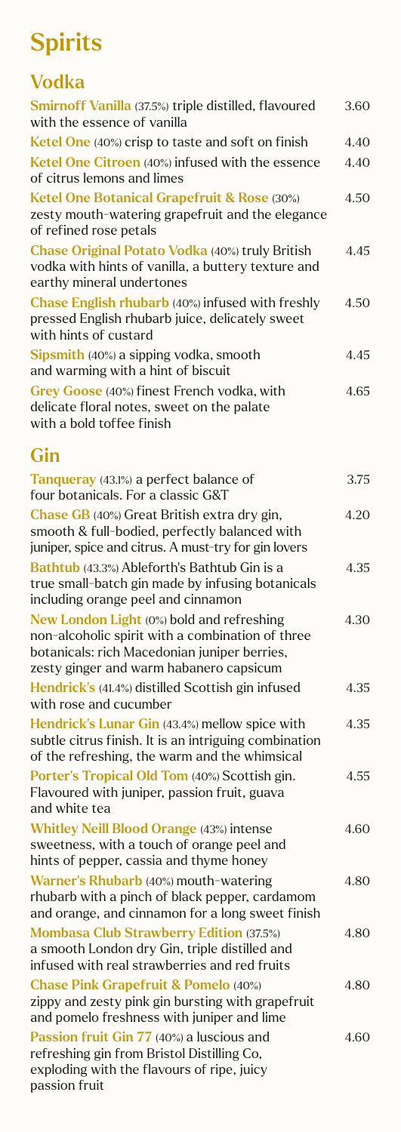# **Spirits**

#### Vodka Smirnoff Vanilla (37.5%) triple distilled, flavoured 3.60 with the essence of vanilla Ketel One  $(40\%)$  crisp to taste and soft on finish  $4.40$ Ketel One Citroen (40%) infused with the essence 4.40 of citrus lemons and limes Ketel One Botanical Grapefruit & Rose (30%) 4.50 zesty mouth-watering grapefruit and the elegance of refined rose petals Chase Original Potato Vodka (40%) truly British 4.45 vodka with hints of vanilla, a buttery texture and earthy mineral undertones Chase English rhubarb (40%) infused with freshly  $4.50$ pressed English rhubarb juice, delicately sweet with hints of custard Sipsmith (40%) a sipping vodka, smooth 4.45 and warming with a hint of biscuit Grey Goose (40%) finest French vodka, with 4.65 delicate floral notes, sweet on the palate with a bold toffee finish Gin Tanqueray (43.1%) a perfect balance of 3.75 four botanicals. For a classic G&T Chase GB (40%) Great British extra dry gin, 4.20 smooth & full-bodied, perfectly balanced with

juniper, spice and citrus. A must-try for gin lovers Bathtub (43.3%) Ableforth's Bathtub Gin is a 4.35 true small-batch gin made by infusing botanicals including orange peel and cinnamon New London Light (0%) bold and refreshing 4.30 non-alcoholic spirit with a combination of three botanicals: rich Macedonian juniper berries, zesty ginger and warm habanero capsicum Hendrick's (41.4%) distilled Scottish gin infused 4.35 with rose and cucumber Hendrick's Lunar Gin (43.4%) mellow spice with 4.35 subtle citrus finish. It is an intriguing combination of the refreshing, the warm and the whimsical Porter's Tropical Old Tom (40%) Scottish gin. 4.55 Flavoured with juniper, passion fruit, guava and white tea Whitley Neill Blood Orange (43%) intense 4.60 sweetness, with a touch of orange peel and hints of pepper, cassia and thyme honey Warner's Rhubarb (40%) mouth-watering 4.80 rhubarb with a pinch of black pepper, cardamom and orange, and cinnamon for a long sweet finish Mombasa Club Strawberry Edition (37.5%) 4.80 a smooth London dry Gin, triple distilled and infused with real strawberries and red fruits Chase Pink Grapefruit & Pomelo (40%) 4.80 zippy and zesty pink gin bursting with grapefruit and pomelo freshness with juniper and lime Passion fruit Gin 77 (40%) a luscious and 4.60 refreshing gin from Bristol Distilling Co, exploding with the flavours of ripe, juicy passion fruit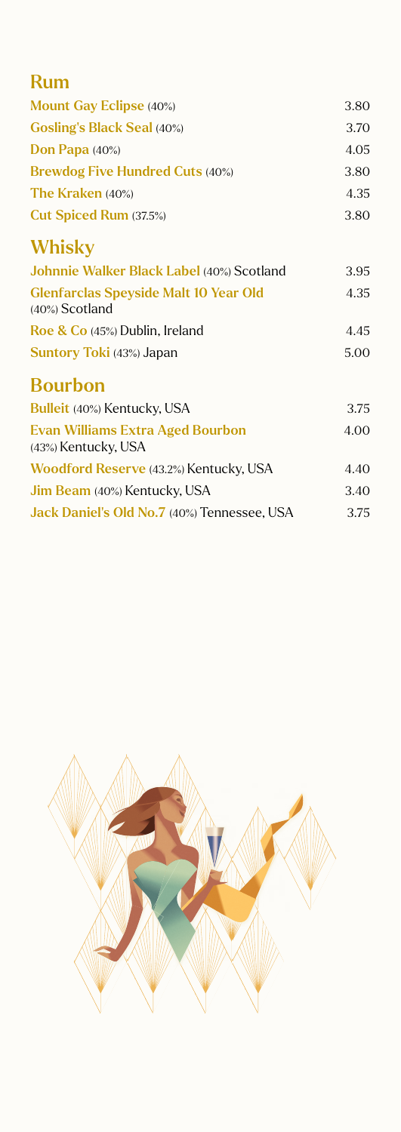| <b>Rum</b>                                                        |      |
|-------------------------------------------------------------------|------|
| <b>Mount Gay Eclipse (40%)</b>                                    | 3.80 |
| <b>Gosling's Black Seal (40%)</b>                                 | 3.70 |
| Don Papa (40%)                                                    | 4.05 |
| <b>Brewdog Five Hundred Cuts (40%)</b>                            | 3.80 |
| <b>The Kraken</b> (40%)                                           | 4.35 |
| Cut Spiced Rum (37.5%)                                            | 3.80 |
| Whisky                                                            |      |
| Johnnie Walker Black Label (40%) Scotland                         | 3.95 |
| <b>Glenfarclas Speyside Malt 10 Year Old</b><br>$(40\%)$ Scotland | 4.35 |
| Roe & Co (45%) Dublin, Ireland                                    | 4.45 |
| Suntory Toki (43%) Japan                                          | 5.00 |
| <b>Bourbon</b>                                                    |      |
| Bulleit (40%) Kentucky, USA                                       | 3.75 |
| <b>Evan Williams Extra Aged Bourbon</b><br>(43%) Kentucky, USA    | 4.00 |
| Woodford Reserve (43.2%) Kentucky, USA                            | 4.40 |
| Jim Beam (40%) Kentucky, USA                                      | 3.40 |
| Jack Daniel's Old No.7 (40%) Tennessee, USA                       | 3.75 |